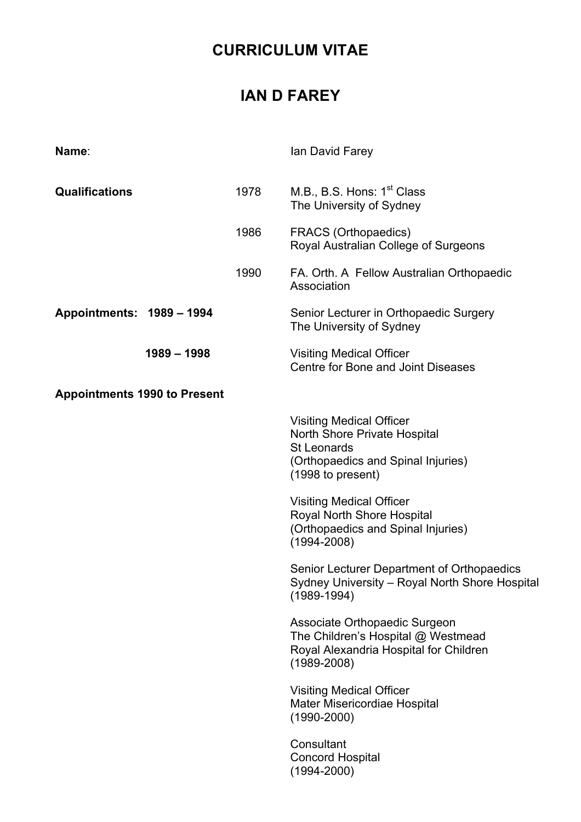## **CURRICULUM VITAE**

## **IAN D FAREY**

| Name:                               |               |      | Ian David Farey                                                                                                                                         |
|-------------------------------------|---------------|------|---------------------------------------------------------------------------------------------------------------------------------------------------------|
| <b>Qualifications</b>               |               | 1978 | M.B., B.S. Hons: 1 <sup>st</sup> Class<br>The University of Sydney                                                                                      |
|                                     |               | 1986 | <b>FRACS (Orthopaedics)</b><br>Royal Australian College of Surgeons                                                                                     |
|                                     |               | 1990 | FA. Orth. A Fellow Australian Orthopaedic<br>Association                                                                                                |
| Appointments: 1989 - 1994           |               |      | Senior Lecturer in Orthopaedic Surgery<br>The University of Sydney                                                                                      |
|                                     | $1989 - 1998$ |      | <b>Visiting Medical Officer</b><br>Centre for Bone and Joint Diseases                                                                                   |
| <b>Appointments 1990 to Present</b> |               |      |                                                                                                                                                         |
|                                     |               |      | <b>Visiting Medical Officer</b><br><b>North Shore Private Hospital</b><br><b>St Leonards</b><br>(Orthopaedics and Spinal Injuries)<br>(1998 to present) |
|                                     |               |      | <b>Visiting Medical Officer</b><br>Royal North Shore Hospital<br>(Orthopaedics and Spinal Injuries)<br>$(1994 - 2008)$                                  |
|                                     |               |      | Senior Lecturer Department of Orthopaedics<br>Sydney University - Royal North Shore Hospital<br>$(1989 - 1994)$                                         |
|                                     |               |      | Associate Orthopaedic Surgeon<br>The Children's Hospital @ Westmead<br>Royal Alexandria Hospital for Children<br>$(1989 - 2008)$                        |
|                                     |               |      | <b>Visiting Medical Officer</b><br><b>Mater Misericordiae Hospital</b><br>$(1990 - 2000)$                                                               |
|                                     |               |      | Consultant<br><b>Concord Hospital</b><br>$(1994 - 2000)$                                                                                                |
|                                     |               |      |                                                                                                                                                         |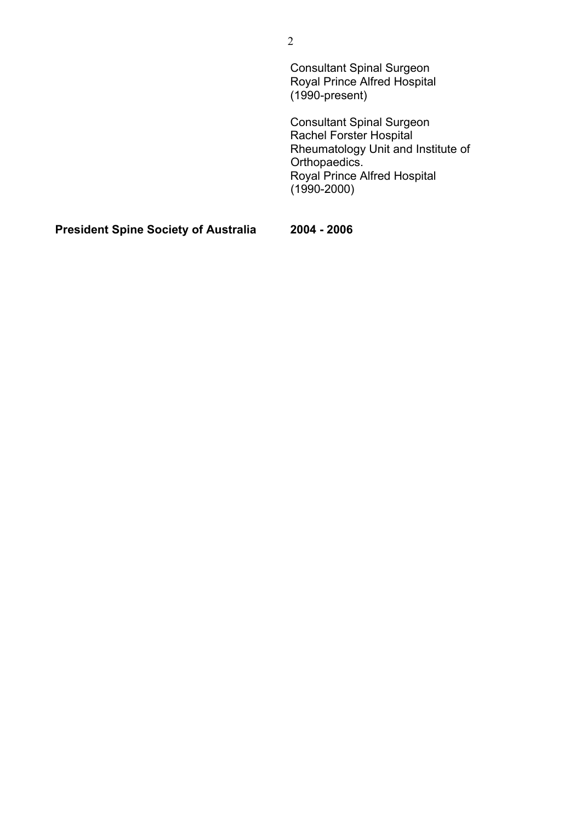| <b>Consultant Spinal Surgeon</b><br><b>Royal Prince Alfred Hospital</b><br>$(1990-present)$                                                                                         |
|-------------------------------------------------------------------------------------------------------------------------------------------------------------------------------------|
| <b>Consultant Spinal Surgeon</b><br><b>Rachel Forster Hospital</b><br>Rheumatology Unit and Institute of<br>Orthopaedics.<br><b>Royal Prince Alfred Hospital</b><br>$(1990 - 2000)$ |
|                                                                                                                                                                                     |

**President Spine Society of Australia 2004 - 2006**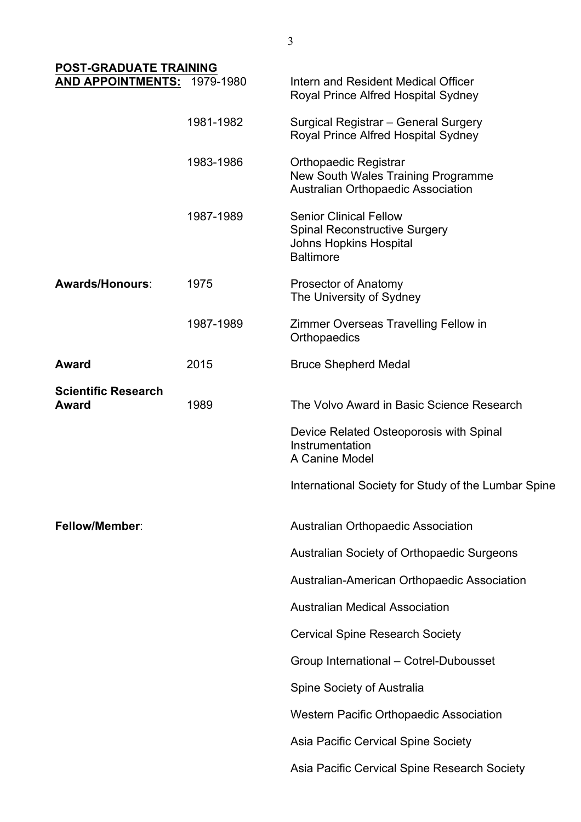| <b>POST-GRADUATE TRAINING</b>              |           |                                                                                                                            |
|--------------------------------------------|-----------|----------------------------------------------------------------------------------------------------------------------------|
| AND APPOINTMENTS: 1979-1980                |           | Intern and Resident Medical Officer<br>Royal Prince Alfred Hospital Sydney                                                 |
|                                            | 1981-1982 | Surgical Registrar - General Surgery<br>Royal Prince Alfred Hospital Sydney                                                |
|                                            | 1983-1986 | <b>Orthopaedic Registrar</b><br>New South Wales Training Programme<br>Australian Orthopaedic Association                   |
|                                            | 1987-1989 | <b>Senior Clinical Fellow</b><br><b>Spinal Reconstructive Surgery</b><br><b>Johns Hopkins Hospital</b><br><b>Baltimore</b> |
| Awards/Honours:                            | 1975      | <b>Prosector of Anatomy</b><br>The University of Sydney                                                                    |
|                                            | 1987-1989 | Zimmer Overseas Travelling Fellow in<br>Orthopaedics                                                                       |
| <b>Award</b>                               | 2015      | <b>Bruce Shepherd Medal</b>                                                                                                |
| <b>Scientific Research</b><br><b>Award</b> | 1989      | The Volvo Award in Basic Science Research                                                                                  |
|                                            |           | Device Related Osteoporosis with Spinal<br>Instrumentation<br>A Canine Model                                               |
|                                            |           | International Society for Study of the Lumbar Spine                                                                        |
| <b>Fellow/Member:</b>                      |           | <b>Australian Orthopaedic Association</b>                                                                                  |
|                                            |           | Australian Society of Orthopaedic Surgeons                                                                                 |
|                                            |           | Australian-American Orthopaedic Association                                                                                |
|                                            |           | <b>Australian Medical Association</b>                                                                                      |
|                                            |           | <b>Cervical Spine Research Society</b>                                                                                     |
|                                            |           | Group International - Cotrel-Dubousset                                                                                     |
|                                            |           | Spine Society of Australia                                                                                                 |
|                                            |           | <b>Western Pacific Orthopaedic Association</b>                                                                             |
|                                            |           | Asia Pacific Cervical Spine Society                                                                                        |
|                                            |           | Asia Pacific Cervical Spine Research Society                                                                               |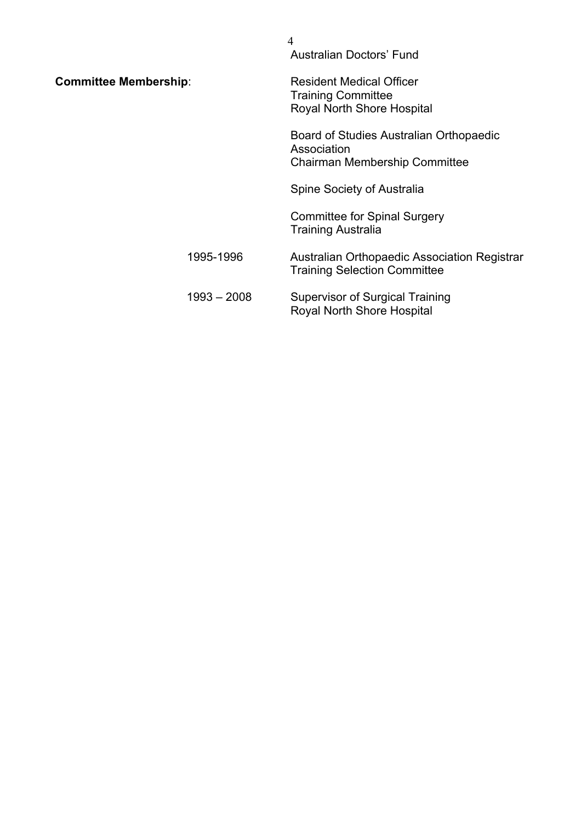|                              |               | 4<br><b>Australian Doctors' Fund</b>                                                              |
|------------------------------|---------------|---------------------------------------------------------------------------------------------------|
| <b>Committee Membership:</b> |               | <b>Resident Medical Officer</b><br><b>Training Committee</b><br><b>Royal North Shore Hospital</b> |
|                              |               | Board of Studies Australian Orthopaedic<br>Association<br>Chairman Membership Committee           |
|                              |               | Spine Society of Australia                                                                        |
|                              |               | <b>Committee for Spinal Surgery</b><br><b>Training Australia</b>                                  |
|                              | 1995-1996     | Australian Orthopaedic Association Registrar<br><b>Training Selection Committee</b>               |
|                              | $1993 - 2008$ | <b>Supervisor of Surgical Training</b><br><b>Royal North Shore Hospital</b>                       |
|                              |               |                                                                                                   |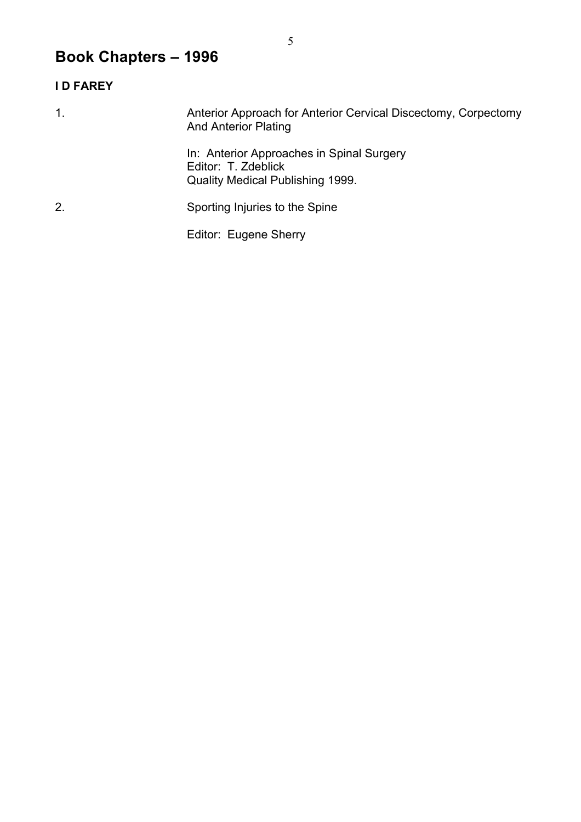# **Book Chapters – 1996**

### **I D FAREY**

| $\mathbf 1$ . | Anterior Approach for Anterior Cervical Discectomy, Corpectomy<br><b>And Anterior Plating</b>               |
|---------------|-------------------------------------------------------------------------------------------------------------|
|               | In: Anterior Approaches in Spinal Surgery<br>Editor: T. Zdeblick<br><b>Quality Medical Publishing 1999.</b> |
| 2.            | Sporting Injuries to the Spine                                                                              |
|               | Editor: Eugene Sherry                                                                                       |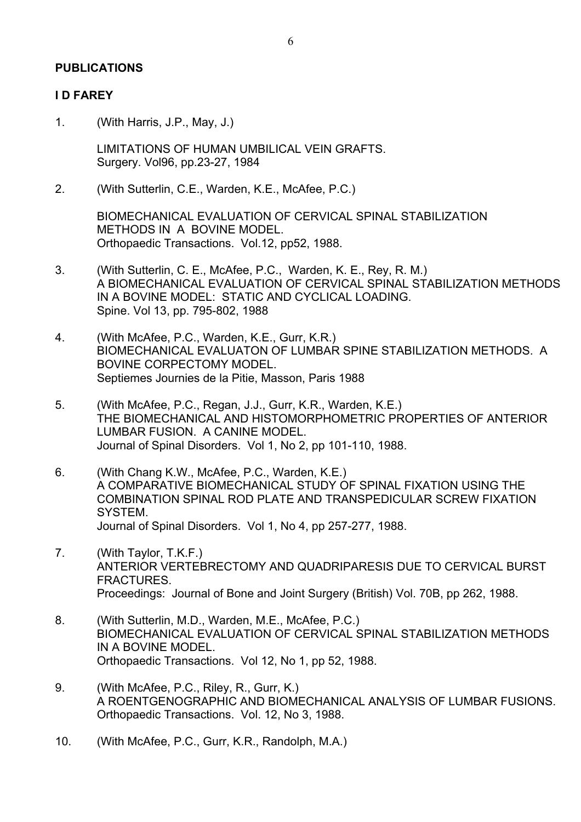#### **PUBLICATIONS**

#### **I D FAREY**

1. (With Harris, J.P., May, J.)

LIMITATIONS OF HUMAN UMBILICAL VEIN GRAFTS. Surgery. Vol96, pp.23-27, 1984

2. (With Sutterlin, C.E., Warden, K.E., McAfee, P.C.)

BIOMECHANICAL EVALUATION OF CERVICAL SPINAL STABILIZATION METHODS IN A BOVINE MODEL. Orthopaedic Transactions. Vol.12, pp52, 1988.

- 3. (With Sutterlin, C. E., McAfee, P.C., Warden, K. E., Rey, R. M.) A BIOMECHANICAL EVALUATION OF CERVICAL SPINAL STABILIZATION METHODS IN A BOVINE MODEL: STATIC AND CYCLICAL LOADING. Spine. Vol 13, pp. 795-802, 1988
- 4. (With McAfee, P.C., Warden, K.E., Gurr, K.R.) BIOMECHANICAL EVALUATON OF LUMBAR SPINE STABILIZATION METHODS. A BOVINE CORPECTOMY MODEL. Septiemes Journies de la Pitie, Masson, Paris 1988
- 5. (With McAfee, P.C., Regan, J.J., Gurr, K.R., Warden, K.E.) THE BIOMECHANICAL AND HISTOMORPHOMETRIC PROPERTIES OF ANTERIOR LUMBAR FUSION. A CANINE MODEL. Journal of Spinal Disorders. Vol 1, No 2, pp 101-110, 1988.
- 6. (With Chang K.W., McAfee, P.C., Warden, K.E.) A COMPARATIVE BIOMECHANICAL STUDY OF SPINAL FIXATION USING THE COMBINATION SPINAL ROD PLATE AND TRANSPEDICULAR SCREW FIXATION SYSTEM. Journal of Spinal Disorders. Vol 1, No 4, pp 257-277, 1988.
- 7. (With Taylor, T.K.F.) ANTERIOR VERTEBRECTOMY AND QUADRIPARESIS DUE TO CERVICAL BURST FRACTURES. Proceedings: Journal of Bone and Joint Surgery (British) Vol. 70B, pp 262, 1988.
- 8. (With Sutterlin, M.D., Warden, M.E., McAfee, P.C.) BIOMECHANICAL EVALUATION OF CERVICAL SPINAL STABILIZATION METHODS IN A BOVINE MODEL. Orthopaedic Transactions. Vol 12, No 1, pp 52, 1988.
- 9. (With McAfee, P.C., Riley, R., Gurr, K.) A ROENTGENOGRAPHIC AND BIOMECHANICAL ANALYSIS OF LUMBAR FUSIONS. Orthopaedic Transactions. Vol. 12, No 3, 1988.
- 10. (With McAfee, P.C., Gurr, K.R., Randolph, M.A.)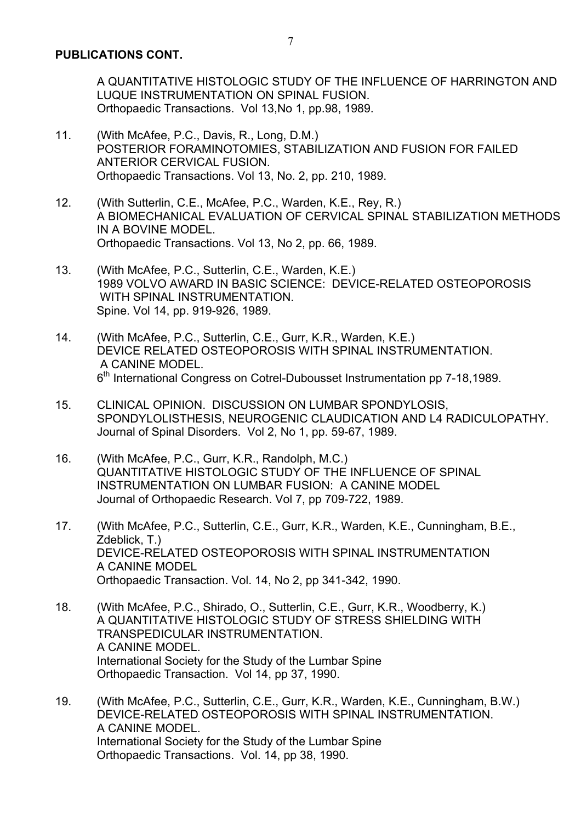A QUANTITATIVE HISTOLOGIC STUDY OF THE INFLUENCE OF HARRINGTON AND LUQUE INSTRUMENTATION ON SPINAL FUSION. Orthopaedic Transactions. Vol 13,No 1, pp.98, 1989.

- 11. (With McAfee, P.C., Davis, R., Long, D.M.) POSTERIOR FORAMINOTOMIES, STABILIZATION AND FUSION FOR FAILED ANTERIOR CERVICAL FUSION. Orthopaedic Transactions. Vol 13, No. 2, pp. 210, 1989.
- 12. (With Sutterlin, C.E., McAfee, P.C., Warden, K.E., Rey, R.) A BIOMECHANICAL EVALUATION OF CERVICAL SPINAL STABILIZATION METHODS IN A BOVINE MODEL. Orthopaedic Transactions. Vol 13, No 2, pp. 66, 1989.
- 13. (With McAfee, P.C., Sutterlin, C.E., Warden, K.E.) 1989 VOLVO AWARD IN BASIC SCIENCE: DEVICE-RELATED OSTEOPOROSIS WITH SPINAL INSTRUMENTATION. Spine. Vol 14, pp. 919-926, 1989.
- 14. (With McAfee, P.C., Sutterlin, C.E., Gurr, K.R., Warden, K.E.) DEVICE RELATED OSTEOPOROSIS WITH SPINAL INSTRUMENTATION. A CANINE MODEL. 6<sup>th</sup> International Congress on Cotrel-Dubousset Instrumentation pp 7-18,1989.
- 15. CLINICAL OPINION. DISCUSSION ON LUMBAR SPONDYLOSIS, SPONDYLOLISTHESIS, NEUROGENIC CLAUDICATION AND L4 RADICULOPATHY. Journal of Spinal Disorders. Vol 2, No 1, pp. 59-67, 1989.
- 16. (With McAfee, P.C., Gurr, K.R., Randolph, M.C.) QUANTITATIVE HISTOLOGIC STUDY OF THE INFLUENCE OF SPINAL INSTRUMENTATION ON LUMBAR FUSION: A CANINE MODEL Journal of Orthopaedic Research. Vol 7, pp 709-722, 1989.
- 17. (With McAfee, P.C., Sutterlin, C.E., Gurr, K.R., Warden, K.E., Cunningham, B.E., Zdeblick, T.) DEVICE-RELATED OSTEOPOROSIS WITH SPINAL INSTRUMENTATION A CANINE MODEL Orthopaedic Transaction. Vol. 14, No 2, pp 341-342, 1990.
- 18. (With McAfee, P.C., Shirado, O., Sutterlin, C.E., Gurr, K.R., Woodberry, K.) A QUANTITATIVE HISTOLOGIC STUDY OF STRESS SHIELDING WITH TRANSPEDICULAR INSTRUMENTATION. A CANINE MODEL. International Society for the Study of the Lumbar Spine Orthopaedic Transaction. Vol 14, pp 37, 1990.
- 19. (With McAfee, P.C., Sutterlin, C.E., Gurr, K.R., Warden, K.E., Cunningham, B.W.) DEVICE-RELATED OSTEOPOROSIS WITH SPINAL INSTRUMENTATION. A CANINE MODEL. International Society for the Study of the Lumbar Spine Orthopaedic Transactions. Vol. 14, pp 38, 1990.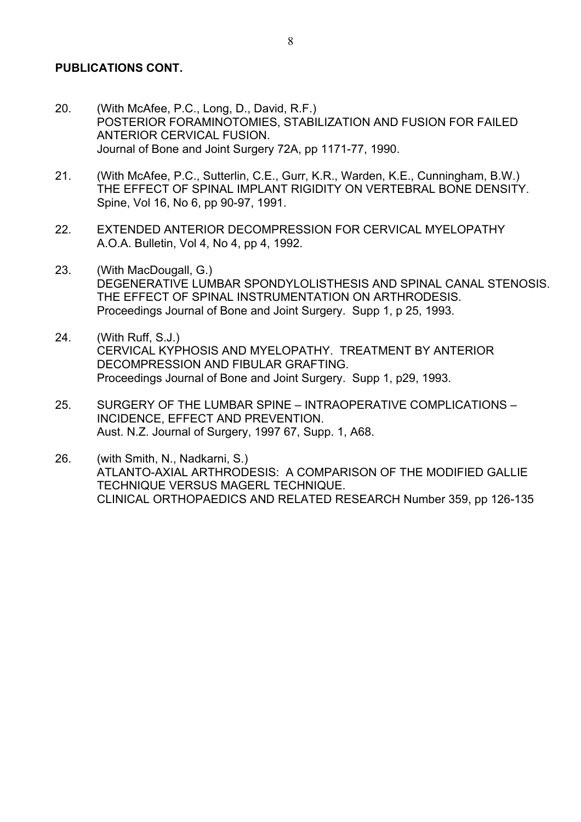#### **PUBLICATIONS CONT.**

- 20. (With McAfee, P.C., Long, D., David, R.F.) POSTERIOR FORAMINOTOMIES, STABILIZATION AND FUSION FOR FAILED ANTERIOR CERVICAL FUSION. Journal of Bone and Joint Surgery 72A, pp 1171-77, 1990.
- 21. (With McAfee, P.C., Sutterlin, C.E., Gurr, K.R., Warden, K.E., Cunningham, B.W.) THE EFFECT OF SPINAL IMPLANT RIGIDITY ON VERTEBRAL BONE DENSITY. Spine, Vol 16, No 6, pp 90-97, 1991.
- 22. EXTENDED ANTERIOR DECOMPRESSION FOR CERVICAL MYELOPATHY A.O.A. Bulletin, Vol 4, No 4, pp 4, 1992.
- 23. (With MacDougall, G.) DEGENERATIVE LUMBAR SPONDYLOLISTHESIS AND SPINAL CANAL STENOSIS. THE EFFECT OF SPINAL INSTRUMENTATION ON ARTHRODESIS. Proceedings Journal of Bone and Joint Surgery. Supp 1, p 25, 1993.
- 24. (With Ruff, S.J.) CERVICAL KYPHOSIS AND MYELOPATHY. TREATMENT BY ANTERIOR DECOMPRESSION AND FIBULAR GRAFTING. Proceedings Journal of Bone and Joint Surgery. Supp 1, p29, 1993.
- 25. SURGERY OF THE LUMBAR SPINE INTRAOPERATIVE COMPLICATIONS INCIDENCE, EFFECT AND PREVENTION. Aust. N.Z. Journal of Surgery, 1997 67, Supp. 1, A68.
- 26. (with Smith, N., Nadkarni, S.) ATLANTO-AXIAL ARTHRODESIS: A COMPARISON OF THE MODIFIED GALLIE TECHNIQUE VERSUS MAGERL TECHNIQUE. CLINICAL ORTHOPAEDICS AND RELATED RESEARCH Number 359, pp 126-135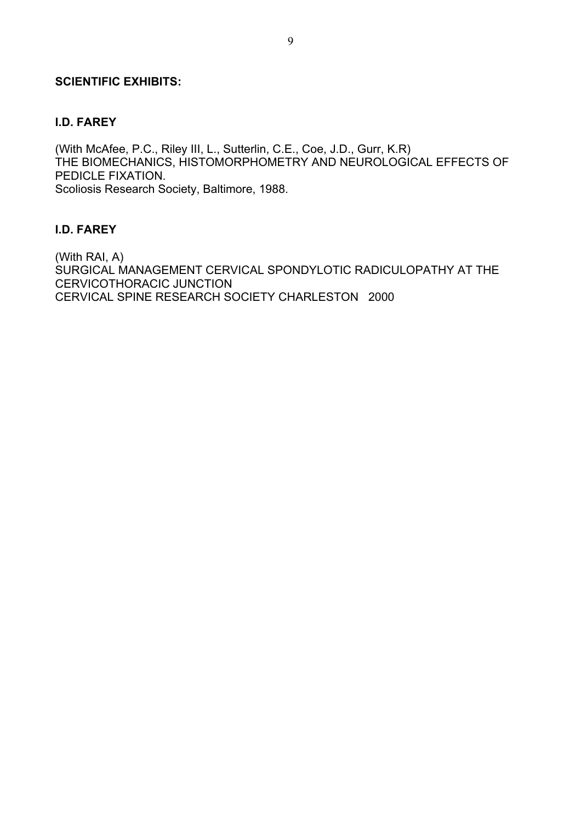#### **SCIENTIFIC EXHIBITS:**

#### **I.D. FAREY**

(With McAfee, P.C., Riley III, L., Sutterlin, C.E., Coe, J.D., Gurr, K.R) THE BIOMECHANICS, HISTOMORPHOMETRY AND NEUROLOGICAL EFFECTS OF PEDICLE FIXATION. Scoliosis Research Society, Baltimore, 1988.

#### **I.D. FAREY**

(With RAI, A) SURGICAL MANAGEMENT CERVICAL SPONDYLOTIC RADICULOPATHY AT THE CERVICOTHORACIC JUNCTION CERVICAL SPINE RESEARCH SOCIETY CHARLESTON 2000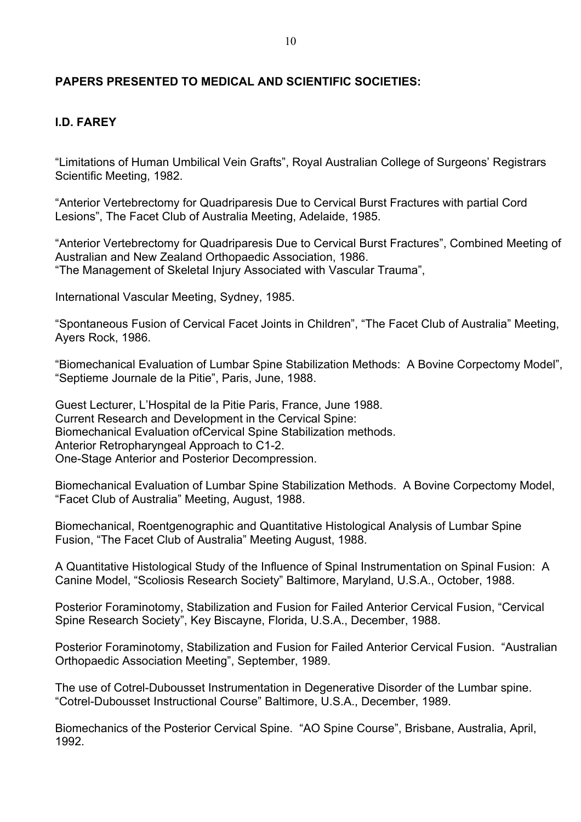#### **PAPERS PRESENTED TO MEDICAL AND SCIENTIFIC SOCIETIES:**

#### **I.D. FAREY**

"Limitations of Human Umbilical Vein Grafts", Royal Australian College of Surgeons' Registrars Scientific Meeting, 1982.

"Anterior Vertebrectomy for Quadriparesis Due to Cervical Burst Fractures with partial Cord Lesions", The Facet Club of Australia Meeting, Adelaide, 1985.

"Anterior Vertebrectomy for Quadriparesis Due to Cervical Burst Fractures", Combined Meeting of Australian and New Zealand Orthopaedic Association, 1986. "The Management of Skeletal Injury Associated with Vascular Trauma",

International Vascular Meeting, Sydney, 1985.

"Spontaneous Fusion of Cervical Facet Joints in Children", "The Facet Club of Australia" Meeting, Ayers Rock, 1986.

"Biomechanical Evaluation of Lumbar Spine Stabilization Methods: A Bovine Corpectomy Model", "Septieme Journale de la Pitie", Paris, June, 1988.

Guest Lecturer, L'Hospital de la Pitie Paris, France, June 1988. Current Research and Development in the Cervical Spine: Biomechanical Evaluation ofCervical Spine Stabilization methods. Anterior Retropharyngeal Approach to C1-2. One-Stage Anterior and Posterior Decompression.

Biomechanical Evaluation of Lumbar Spine Stabilization Methods. A Bovine Corpectomy Model, "Facet Club of Australia" Meeting, August, 1988.

Biomechanical, Roentgenographic and Quantitative Histological Analysis of Lumbar Spine Fusion, "The Facet Club of Australia" Meeting August, 1988.

A Quantitative Histological Study of the Influence of Spinal Instrumentation on Spinal Fusion: A Canine Model, "Scoliosis Research Society" Baltimore, Maryland, U.S.A., October, 1988.

Posterior Foraminotomy, Stabilization and Fusion for Failed Anterior Cervical Fusion, "Cervical Spine Research Society", Key Biscayne, Florida, U.S.A., December, 1988.

Posterior Foraminotomy, Stabilization and Fusion for Failed Anterior Cervical Fusion. "Australian Orthopaedic Association Meeting", September, 1989.

The use of Cotrel-Dubousset Instrumentation in Degenerative Disorder of the Lumbar spine. "Cotrel-Dubousset Instructional Course" Baltimore, U.S.A., December, 1989.

Biomechanics of the Posterior Cervical Spine. "AO Spine Course", Brisbane, Australia, April, 1992.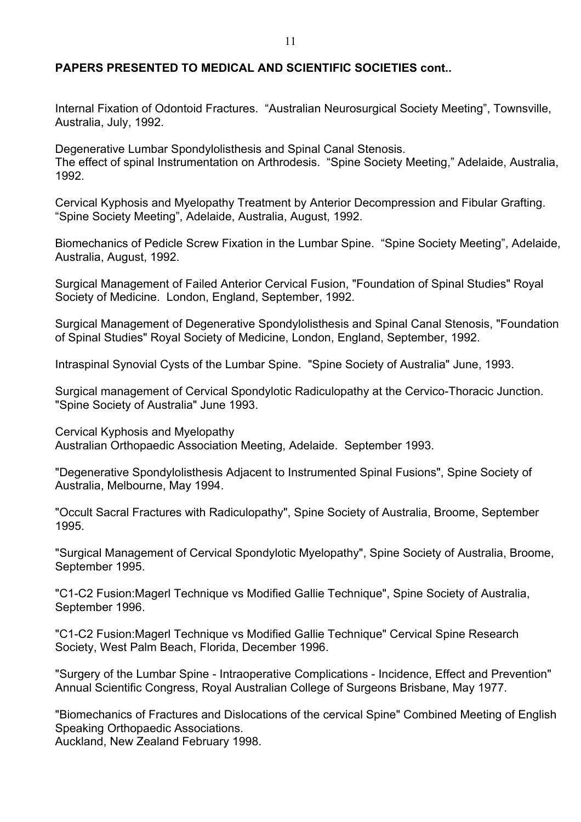#### **PAPERS PRESENTED TO MEDICAL AND SCIENTIFIC SOCIETIES cont..**

Internal Fixation of Odontoid Fractures. "Australian Neurosurgical Society Meeting", Townsville, Australia, July, 1992.

Degenerative Lumbar Spondylolisthesis and Spinal Canal Stenosis. The effect of spinal Instrumentation on Arthrodesis. "Spine Society Meeting," Adelaide, Australia, 1992.

Cervical Kyphosis and Myelopathy Treatment by Anterior Decompression and Fibular Grafting. "Spine Society Meeting", Adelaide, Australia, August, 1992.

Biomechanics of Pedicle Screw Fixation in the Lumbar Spine. "Spine Society Meeting", Adelaide, Australia, August, 1992.

Surgical Management of Failed Anterior Cervical Fusion, "Foundation of Spinal Studies" Royal Society of Medicine. London, England, September, 1992.

Surgical Management of Degenerative Spondylolisthesis and Spinal Canal Stenosis, "Foundation of Spinal Studies" Royal Society of Medicine, London, England, September, 1992.

Intraspinal Synovial Cysts of the Lumbar Spine. "Spine Society of Australia" June, 1993.

Surgical management of Cervical Spondylotic Radiculopathy at the Cervico-Thoracic Junction. "Spine Society of Australia" June 1993.

Cervical Kyphosis and Myelopathy Australian Orthopaedic Association Meeting, Adelaide. September 1993.

"Degenerative Spondylolisthesis Adjacent to Instrumented Spinal Fusions", Spine Society of Australia, Melbourne, May 1994.

"Occult Sacral Fractures with Radiculopathy", Spine Society of Australia, Broome, September 1995.

"Surgical Management of Cervical Spondylotic Myelopathy", Spine Society of Australia, Broome, September 1995.

"C1-C2 Fusion:Magerl Technique vs Modified Gallie Technique", Spine Society of Australia, September 1996.

"C1-C2 Fusion:Magerl Technique vs Modified Gallie Technique" Cervical Spine Research Society, West Palm Beach, Florida, December 1996.

"Surgery of the Lumbar Spine - Intraoperative Complications - Incidence, Effect and Prevention" Annual Scientific Congress, Royal Australian College of Surgeons Brisbane, May 1977.

"Biomechanics of Fractures and Dislocations of the cervical Spine" Combined Meeting of English Speaking Orthopaedic Associations. Auckland, New Zealand February 1998.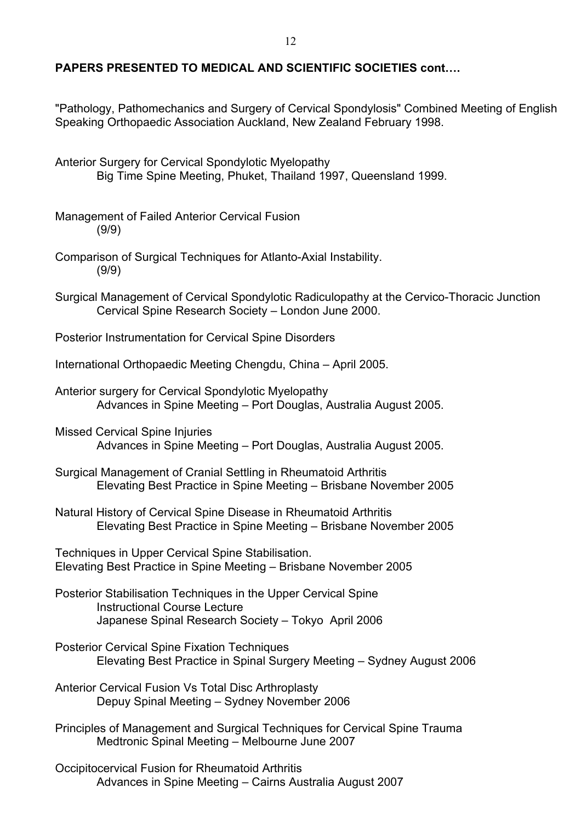#### **PAPERS PRESENTED TO MEDICAL AND SCIENTIFIC SOCIETIES cont….**

"Pathology, Pathomechanics and Surgery of Cervical Spondylosis" Combined Meeting of English Speaking Orthopaedic Association Auckland, New Zealand February 1998.

Anterior Surgery for Cervical Spondylotic Myelopathy Big Time Spine Meeting, Phuket, Thailand 1997, Queensland 1999.

Management of Failed Anterior Cervical Fusion (9/9)

- Comparison of Surgical Techniques for Atlanto-Axial Instability. (9/9)
- Surgical Management of Cervical Spondylotic Radiculopathy at the Cervico-Thoracic Junction Cervical Spine Research Society – London June 2000.

Posterior Instrumentation for Cervical Spine Disorders

International Orthopaedic Meeting Chengdu, China – April 2005.

Anterior surgery for Cervical Spondylotic Myelopathy Advances in Spine Meeting – Port Douglas, Australia August 2005.

Missed Cervical Spine Injuries Advances in Spine Meeting – Port Douglas, Australia August 2005.

Surgical Management of Cranial Settling in Rheumatoid Arthritis Elevating Best Practice in Spine Meeting – Brisbane November 2005

Natural History of Cervical Spine Disease in Rheumatoid Arthritis Elevating Best Practice in Spine Meeting – Brisbane November 2005

Techniques in Upper Cervical Spine Stabilisation. Elevating Best Practice in Spine Meeting – Brisbane November 2005

- Posterior Stabilisation Techniques in the Upper Cervical Spine Instructional Course Lecture Japanese Spinal Research Society – Tokyo April 2006
- Posterior Cervical Spine Fixation Techniques Elevating Best Practice in Spinal Surgery Meeting – Sydney August 2006
- Anterior Cervical Fusion Vs Total Disc Arthroplasty Depuy Spinal Meeting – Sydney November 2006

Principles of Management and Surgical Techniques for Cervical Spine Trauma Medtronic Spinal Meeting – Melbourne June 2007

Occipitocervical Fusion for Rheumatoid Arthritis Advances in Spine Meeting – Cairns Australia August 2007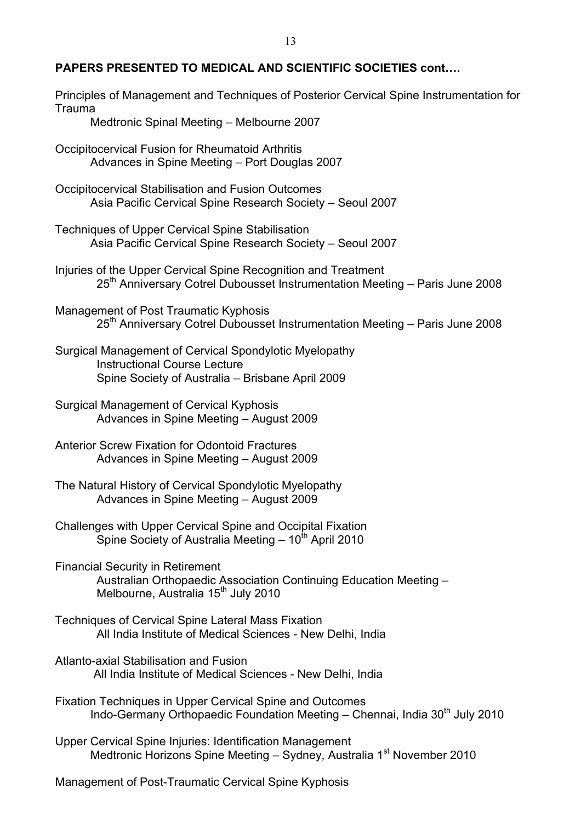#### **PAPERS PRESENTED TO MEDICAL AND SCIENTIFIC SOCIETIES cont….**

| Principles of Management and Techniques of Posterior Cervical Spine Instrumentation for<br>Trauma<br>Medtronic Spinal Meeting - Melbourne 2007                  |  |  |
|-----------------------------------------------------------------------------------------------------------------------------------------------------------------|--|--|
| Occipitocervical Fusion for Rheumatoid Arthritis<br>Advances in Spine Meeting - Port Douglas 2007                                                               |  |  |
| Occipitocervical Stabilisation and Fusion Outcomes<br>Asia Pacific Cervical Spine Research Society - Seoul 2007                                                 |  |  |
| <b>Techniques of Upper Cervical Spine Stabilisation</b><br>Asia Pacific Cervical Spine Research Society - Seoul 2007                                            |  |  |
| Injuries of the Upper Cervical Spine Recognition and Treatment<br>25 <sup>th</sup> Anniversary Cotrel Dubousset Instrumentation Meeting - Paris June 2008       |  |  |
| Management of Post Traumatic Kyphosis<br>25 <sup>th</sup> Anniversary Cotrel Dubousset Instrumentation Meeting - Paris June 2008                                |  |  |
| Surgical Management of Cervical Spondylotic Myelopathy<br><b>Instructional Course Lecture</b><br>Spine Society of Australia - Brisbane April 2009               |  |  |
| <b>Surgical Management of Cervical Kyphosis</b><br>Advances in Spine Meeting - August 2009                                                                      |  |  |
| <b>Anterior Screw Fixation for Odontoid Fractures</b><br>Advances in Spine Meeting - August 2009                                                                |  |  |
| The Natural History of Cervical Spondylotic Myelopathy<br>Advances in Spine Meeting - August 2009                                                               |  |  |
| Challenges with Upper Cervical Spine and Occipital Fixation<br>Spine Society of Australia Meeting - 10 <sup>th</sup> April 2010                                 |  |  |
| <b>Financial Security in Retirement</b><br>Australian Orthopaedic Association Continuing Education Meeting -<br>Melbourne, Australia 15 <sup>th</sup> July 2010 |  |  |
| <b>Techniques of Cervical Spine Lateral Mass Fixation</b><br>All India Institute of Medical Sciences - New Delhi, India                                         |  |  |
| Atlanto-axial Stabilisation and Fusion<br>All India Institute of Medical Sciences - New Delhi, India                                                            |  |  |
| Fixation Techniques in Upper Cervical Spine and Outcomes<br>Indo-Germany Orthopaedic Foundation Meeting - Chennai, India 30 <sup>th</sup> July 2010             |  |  |
| <b>Upper Cervical Spine Injuries: Identification Management</b><br>Medtronic Horizons Spine Meeting - Sydney, Australia 1 <sup>st</sup> November 2010           |  |  |
|                                                                                                                                                                 |  |  |

Management of Post-Traumatic Cervical Spine Kyphosis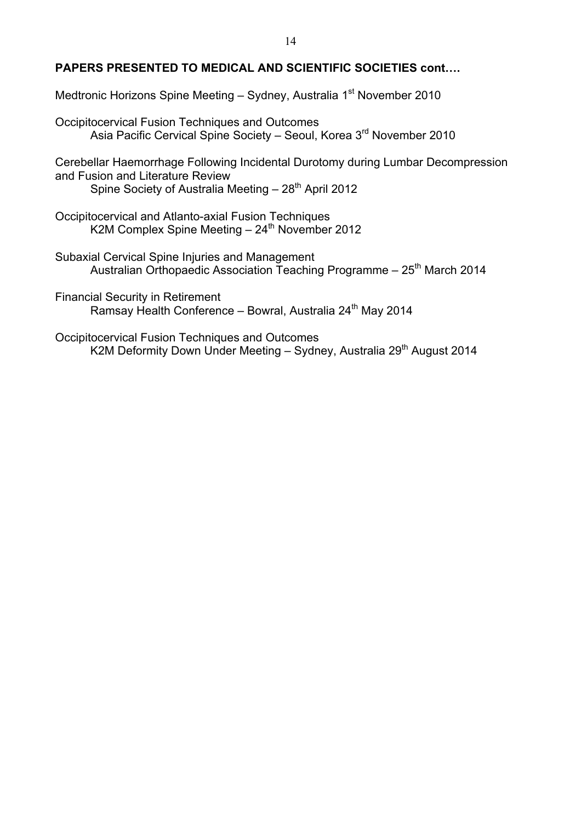#### **PAPERS PRESENTED TO MEDICAL AND SCIENTIFIC SOCIETIES cont….**

Medtronic Horizons Spine Meeting – Sydney, Australia 1<sup>st</sup> November 2010

Occipitocervical Fusion Techniques and Outcomes Asia Pacific Cervical Spine Society – Seoul, Korea 3rd November 2010

Cerebellar Haemorrhage Following Incidental Durotomy during Lumbar Decompression and Fusion and Literature Review

Spine Society of Australia Meeting  $-28<sup>th</sup>$  April 2012

Occipitocervical and Atlanto-axial Fusion Techniques K2M Complex Spine Meeting  $-24<sup>th</sup>$  November 2012

Subaxial Cervical Spine Injuries and Management Australian Orthopaedic Association Teaching Programme - 25<sup>th</sup> March 2014

Financial Security in Retirement Ramsay Health Conference - Bowral, Australia 24<sup>th</sup> May 2014

Occipitocervical Fusion Techniques and Outcomes K2M Deformity Down Under Meeting – Sydney, Australia 29<sup>th</sup> August 2014